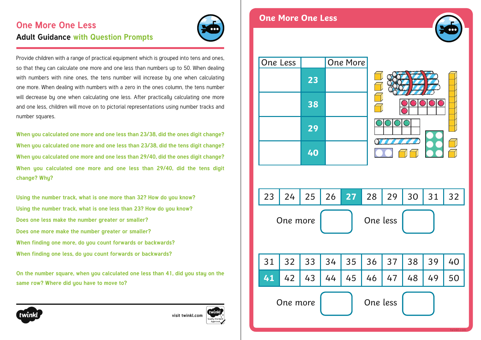# **One More One Less Adult Guidance with Question Prompts**

Provide children with a range of practical equipment which is grouped into tens and ones, so that they can calculate one more and one less than numbers up to 50. When dealing with numbers with nine ones, the tens number will increase by one when calculating one more. When dealing with numbers with a zero in the ones column, the tens number will decrease bu one when calculating one less. After practically calculating one more and one less, children will move on to pictorial representations using number tracks and number squares.

**When you calculated one more and one less than 23/38, did the ones digit change? When you calculated one more and one less than 23/38, did the tens digit change? When you calculated one more and one less than 29/40, did the ones digit change? When you calculated one more and one less than 29/40, did the tens digit change? Why?**

**Using the number track, what is one more than 32? How do you know? Using the number track, what is one less than 23? How do you know? Does one less make the number greater or smaller? Does one more make the number greater or smaller? When finding one more, do you count forwards or backwards? When finding one less, do you count forwards or backwards?**

**On the number square, when you calculated one less than 41, did you stay on the same row? Where did you have to move to?**

**[visit twinkl.com](https://www.twinkl.co.uk/resources/white-rose-maths-resources/year-1-white-rose-maths-resources-key-stage-1-year-1-year-2/spring-block-2-place-value-within-50-year-1-white-rose-maths-supporting-resources-key-stage-1-year-1-year-2)**



#### **One More One Less**







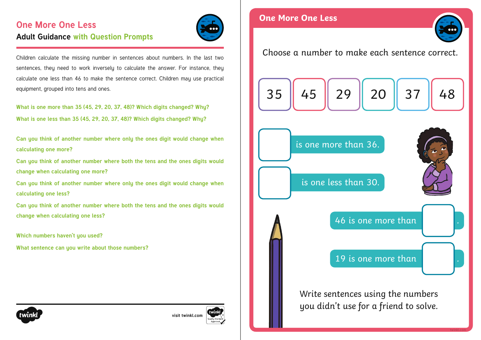# **One More One Less Adult Guidance with Question Prompts**



Children calculate the missing number in sentences about numbers. In the last two sentences, they need to work inversely to calculate the answer. For instance, they calculate one less than 46 to make the sentence correct. Children may use practical equipment, grouped into tens and ones.

**What is one more than 35 (45, 29, 20, 37, 48)? Which digits changed? Why? What is one less than 35 (45, 29, 20, 37, 48)? Which digits changed? Why?**

**Can you think of another number where only the ones digit would change when calculating one more?**

**Can you think of another number where both the tens and the ones digits would change when calculating one more?**

**Can you think of another number where only the ones digit would change when calculating one less?**

**Can you think of another number where both the tens and the ones digits would change when calculating one less?**

**Which numbers haven't you used?**

**What sentence can you write about those numbers?**



**[visit twinkl.com](https://www.twinkl.co.uk/resources/white-rose-maths-resources/year-1-white-rose-maths-resources-key-stage-1-year-1-year-2/spring-block-2-place-value-within-50-year-1-white-rose-maths-supporting-resources-key-stage-1-year-1-year-2)**





Choose a number to make each sentence correct.

$$
\fbox{35}\left[\fbox{45}\right]\fbox{29}\left[\fbox{20}\right]\fbox{37}\left[\fbox{48}\right]
$$



is one more than 36.

46 is one more than

19 is one more than

Write sentences using the numbers you didn't use for a friend to solve.